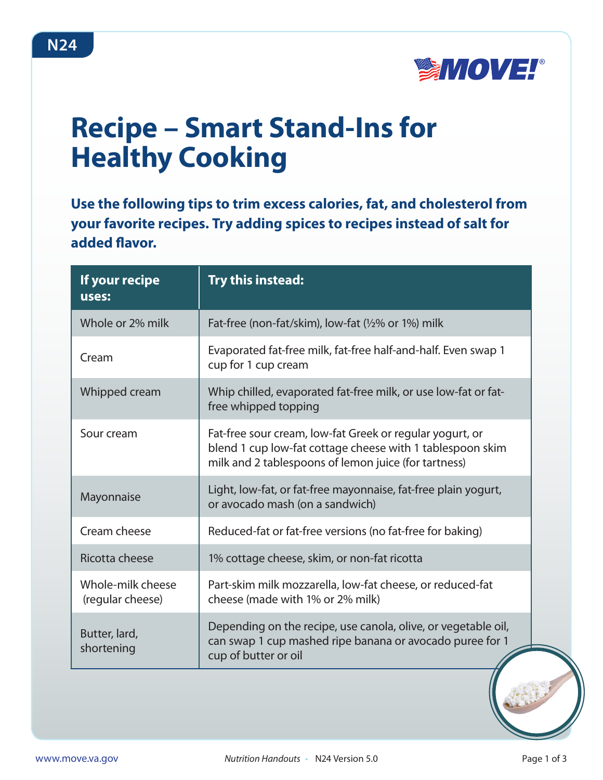

## **Recipe – Smart Stand-Ins for Healthy Cooking**

**Use the following tips to trim excess calories, fat, and cholesterol from your favorite recipes. Try adding spices to recipes instead of salt for added flavor.**

| If your recipe<br>uses:               | Try this instead:                                                                                                                                                             |
|---------------------------------------|-------------------------------------------------------------------------------------------------------------------------------------------------------------------------------|
| Whole or 2% milk                      | Fat-free (non-fat/skim), low-fat (1/2% or 1%) milk                                                                                                                            |
| Cream                                 | Evaporated fat-free milk, fat-free half-and-half. Even swap 1<br>cup for 1 cup cream                                                                                          |
| Whipped cream                         | Whip chilled, evaporated fat-free milk, or use low-fat or fat-<br>free whipped topping                                                                                        |
| Sour cream                            | Fat-free sour cream, low-fat Greek or regular yogurt, or<br>blend 1 cup low-fat cottage cheese with 1 tablespoon skim<br>milk and 2 tablespoons of lemon juice (for tartness) |
| Mayonnaise                            | Light, low-fat, or fat-free mayonnaise, fat-free plain yogurt,<br>or avocado mash (on a sandwich)                                                                             |
| Cream cheese                          | Reduced-fat or fat-free versions (no fat-free for baking)                                                                                                                     |
| Ricotta cheese                        | 1% cottage cheese, skim, or non-fat ricotta                                                                                                                                   |
| Whole-milk cheese<br>(regular cheese) | Part-skim milk mozzarella, low-fat cheese, or reduced-fat<br>cheese (made with 1% or 2% milk)                                                                                 |
| Butter, lard,<br>shortening           | Depending on the recipe, use canola, olive, or vegetable oil,<br>can swap 1 cup mashed ripe banana or avocado puree for 1<br>cup of butter or oil                             |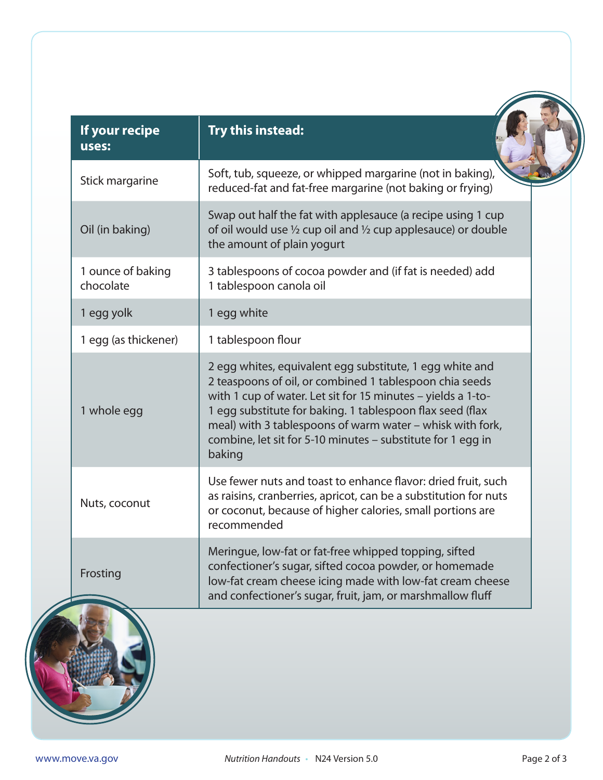| If your recipe<br><b>Uses:</b> | Try this instead:                                                                                                                                                                                                                                                                                                                                                                      |
|--------------------------------|----------------------------------------------------------------------------------------------------------------------------------------------------------------------------------------------------------------------------------------------------------------------------------------------------------------------------------------------------------------------------------------|
| Stick margarine                | Soft, tub, squeeze, or whipped margarine (not in baking),<br>reduced-fat and fat-free margarine (not baking or frying)                                                                                                                                                                                                                                                                 |
| Oil (in baking)                | Swap out half the fat with applesauce (a recipe using 1 cup<br>of oil would use $\frac{1}{2}$ cup oil and $\frac{1}{2}$ cup applesauce) or double<br>the amount of plain yogurt                                                                                                                                                                                                        |
| 1 ounce of baking<br>chocolate | 3 tablespoons of cocoa powder and (if fat is needed) add<br>1 tablespoon canola oil                                                                                                                                                                                                                                                                                                    |
| 1 egg yolk                     | 1 egg white                                                                                                                                                                                                                                                                                                                                                                            |
| 1 egg (as thickener)           | 1 tablespoon flour                                                                                                                                                                                                                                                                                                                                                                     |
| 1 whole egg                    | 2 egg whites, equivalent egg substitute, 1 egg white and<br>2 teaspoons of oil, or combined 1 tablespoon chia seeds<br>with 1 cup of water. Let sit for 15 minutes - yields a 1-to-<br>1 egg substitute for baking. 1 tablespoon flax seed (flax<br>meal) with 3 tablespoons of warm water - whisk with fork,<br>combine, let sit for 5-10 minutes – substitute for 1 egg in<br>baking |
| Nuts, coconut                  | Use fewer nuts and toast to enhance flavor: dried fruit, such<br>as raisins, cranberries, apricot, can be a substitution for nuts<br>or coconut, because of higher calories, small portions are<br>recommended                                                                                                                                                                         |
| Frosting                       | Meringue, low-fat or fat-free whipped topping, sifted<br>confectioner's sugar, sifted cocoa powder, or homemade<br>low-fat cream cheese icing made with low-fat cream cheese<br>and confectioner's sugar, fruit, jam, or marshmallow fluff                                                                                                                                             |